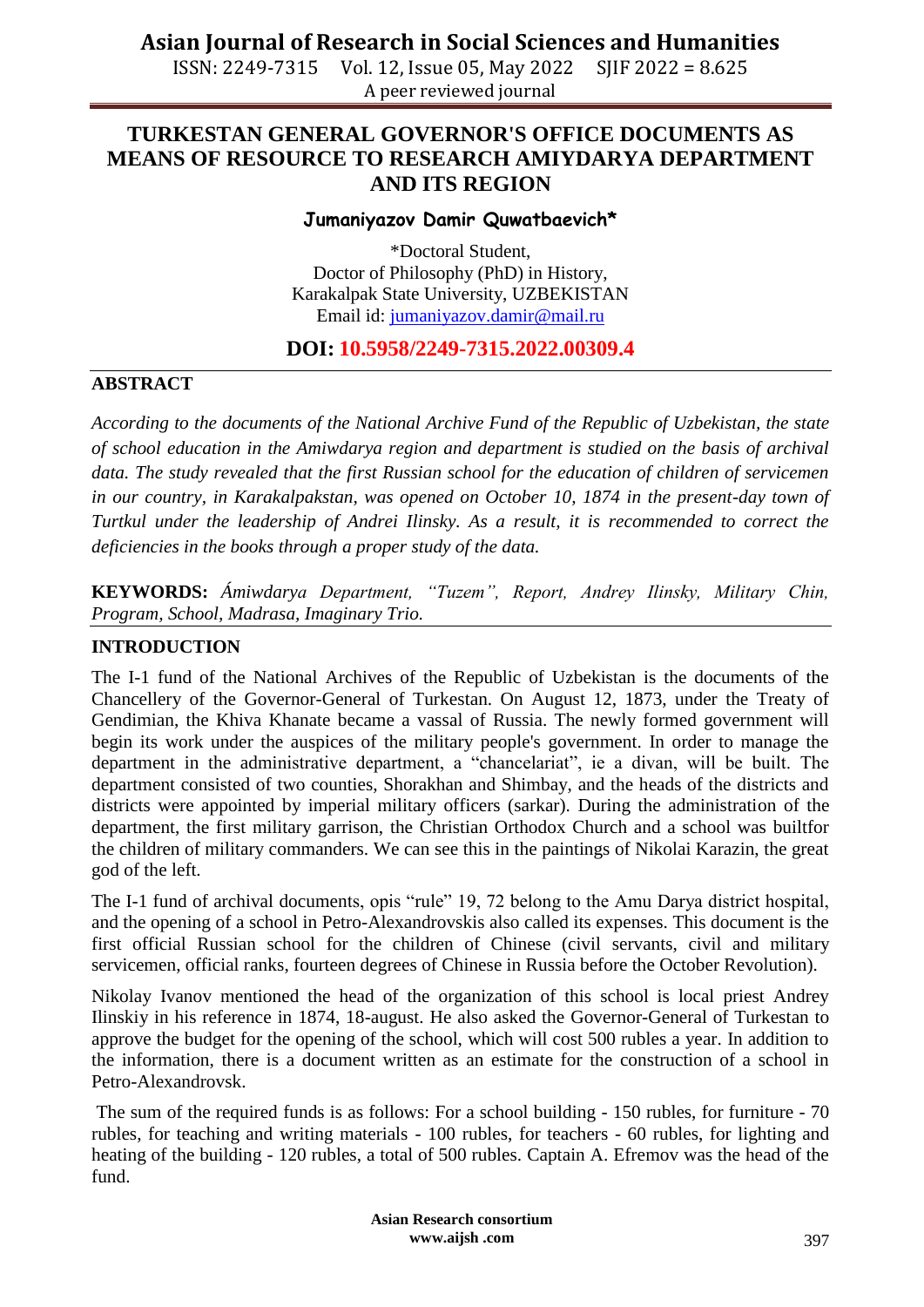ISSN: 2249-7315 Vol. 12, Issue 05, May 2022 SJIF 2022 = 8.625 A peer reviewed journal

### **TURKESTAN GENERAL GOVERNOR'S OFFICE DOCUMENTS AS MEANS OF RESOURCE TO RESEARCH AMIYDARYA DEPARTMENT AND ITS REGION**

#### **Jumaniyazov Damir Quwatbaevich\***

\*Doctoral Student, Doctor of Philosophy (PhD) in History, Karakalpak State University, UZBEKISTAN Email id: [jumaniyazov.damir@mail.ru](mailto:jumaniyazov.damir@mail.ru)

#### **DOI: 10.5958/2249-7315.2022.00309.4**

#### **ABSTRACT**

*According to the documents of the National Archive Fund of the Republic of Uzbekistan, the state of school education in the Amiwdarya region and department is studied on the basis of archival*  data. The study revealed that the first Russian school for the education of children of servicemen *in our country, in Karakalpakstan, was opened on October 10, 1874 in the present-day town of Turtkul under the leadership of Andrei Ilinsky. As a result, it is recommended to correct the deficiencies in the books through a proper study of the data.* 

**KEYWORDS:** *Ámiwdarya Department, "Tuzem", Report, Andrey Ilinsky, Military Chin, Program, School, Madrasa, Imaginary Trio.*

#### **INTRODUCTION**

The I-1 fund of the National Archives of the Republic of Uzbekistan is the documents of the Chancellery of the Governor-General of Turkestan. On August 12, 1873, under the Treaty of Gendimian, the Khiva Khanate became a vassal of Russia. The newly formed government will begin its work under the auspices of the military people's government. In order to manage the department in the administrative department, a "chancelariat", ie a divan, will be built. The department consisted of two counties, Shorakhan and Shimbay, and the heads of the districts and districts were appointed by imperial military officers (sarkar). During the administration of the department, the first military garrison, the Christian Orthodox Church and a school was builtfor the children of military commanders. We can see this in the paintings of Nikolai Karazin, the great god of the left.

The I-1 fund of archival documents, opis "rule" 19, 72 belong to the Amu Darya district hospital, and the opening of a school in Petro-Alexandrovskis also called its expenses. This document is the first official Russian school for the children of Chinese (civil servants, civil and military servicemen, official ranks, fourteen degrees of Chinese in Russia before the October Revolution).

Nikolay Ivanov mentioned the head of the organization of this school is local priest Andrey Ilinskiy in his reference in 1874, 18-august. He also asked the Governor-General of Turkestan to approve the budget for the opening of the school, which will cost 500 rubles a year. In addition to the information, there is a document written as an estimate for the construction of a school in Petro-Alexandrovsk.

The sum of the required funds is as follows: For a school building - 150 rubles, for furniture - 70 rubles, for teaching and writing materials - 100 rubles, for teachers - 60 rubles, for lighting and heating of the building - 120 rubles, a total of 500 rubles. Captain A. Efremov was the head of the fund.

> **Asian Research consortium www.aijsh .com**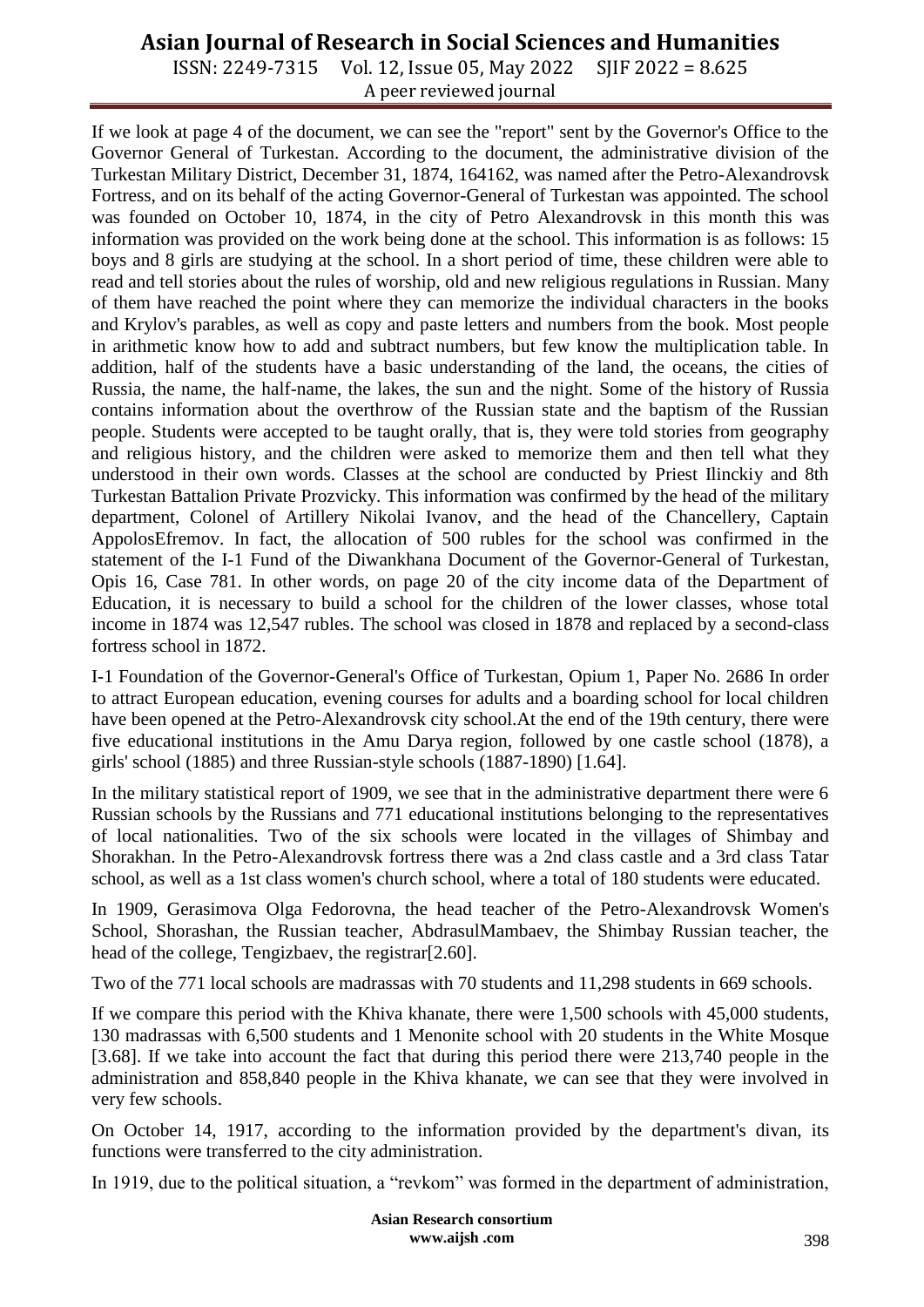# **Asian Journal of Research in Social Sciences and Humanities**

ISSN: 2249-7315 Vol. 12, Issue 05, May 2022 SJIF 2022 = 8.625 A peer reviewed journal

If we look at page 4 of the document, we can see the "report" sent by the Governor's Office to the Governor General of Turkestan. According to the document, the administrative division of the Turkestan Military District, December 31, 1874, 164162, was named after the Petro-Alexandrovsk Fortress, and on its behalf of the acting Governor-General of Turkestan was appointed. The school was founded on October 10, 1874, in the city of Petro Alexandrovsk in this month this was information was provided on the work being done at the school. This information is as follows: 15 boys and 8 girls are studying at the school. In a short period of time, these children were able to read and tell stories about the rules of worship, old and new religious regulations in Russian. Many of them have reached the point where they can memorize the individual characters in the books and Krylov's parables, as well as copy and paste letters and numbers from the book. Most people in arithmetic know how to add and subtract numbers, but few know the multiplication table. In addition, half of the students have a basic understanding of the land, the oceans, the cities of Russia, the name, the half-name, the lakes, the sun and the night. Some of the history of Russia contains information about the overthrow of the Russian state and the baptism of the Russian people. Students were accepted to be taught orally, that is, they were told stories from geography and religious history, and the children were asked to memorize them and then tell what they understood in their own words. Classes at the school are conducted by Priest Ilinckiy and 8th Turkestan Battalion Private Prozvicky. This information was confirmed by the head of the military department, Colonel of Artillery Nikolai Ivanov, and the head of the Chancellery, Captain AppolosEfremov. In fact, the allocation of 500 rubles for the school was confirmed in the statement of the I-1 Fund of the Diwankhana Document of the Governor-General of Turkestan, Opis 16, Case 781. In other words, on page 20 of the city income data of the Department of Education, it is necessary to build a school for the children of the lower classes, whose total income in 1874 was 12,547 rubles. The school was closed in 1878 and replaced by a second-class fortress school in 1872.

I-1 Foundation of the Governor-General's Office of Turkestan, Opium 1, Paper No. 2686 In order to attract European education, evening courses for adults and a boarding school for local children have been opened at the Petro-Alexandrovsk city school.At the end of the 19th century, there were five educational institutions in the Amu Darya region, followed by one castle school (1878), a girls' school (1885) and three Russian-style schools (1887-1890) [1.64].

In the military statistical report of 1909, we see that in the administrative department there were 6 Russian schools by the Russians and 771 educational institutions belonging to the representatives of local nationalities. Two of the six schools were located in the villages of Shimbay and Shorakhan. In the Petro-Alexandrovsk fortress there was a 2nd class castle and a 3rd class Tatar school, as well as a 1st class women's church school, where a total of 180 students were educated.

In 1909, Gerasimova Olga Fedorovna, the head teacher of the Petro-Alexandrovsk Women's School, Shorashan, the Russian teacher, AbdrasulMambaev, the Shimbay Russian teacher, the head of the college, Tengizbaev, the registrar[2.60].

Two of the 771 local schools are madrassas with 70 students and 11,298 students in 669 schools.

If we compare this period with the Khiva khanate, there were 1,500 schools with 45,000 students, 130 madrassas with 6,500 students and 1 Menonite school with 20 students in the White Mosque [3.68]. If we take into account the fact that during this period there were 213,740 people in the administration and 858,840 people in the Khiva khanate, we can see that they were involved in very few schools.

On October 14, 1917, according to the information provided by the department's divan, its functions were transferred to the city administration.

In 1919, due to the political situation, a "revkom" was formed in the department of administration,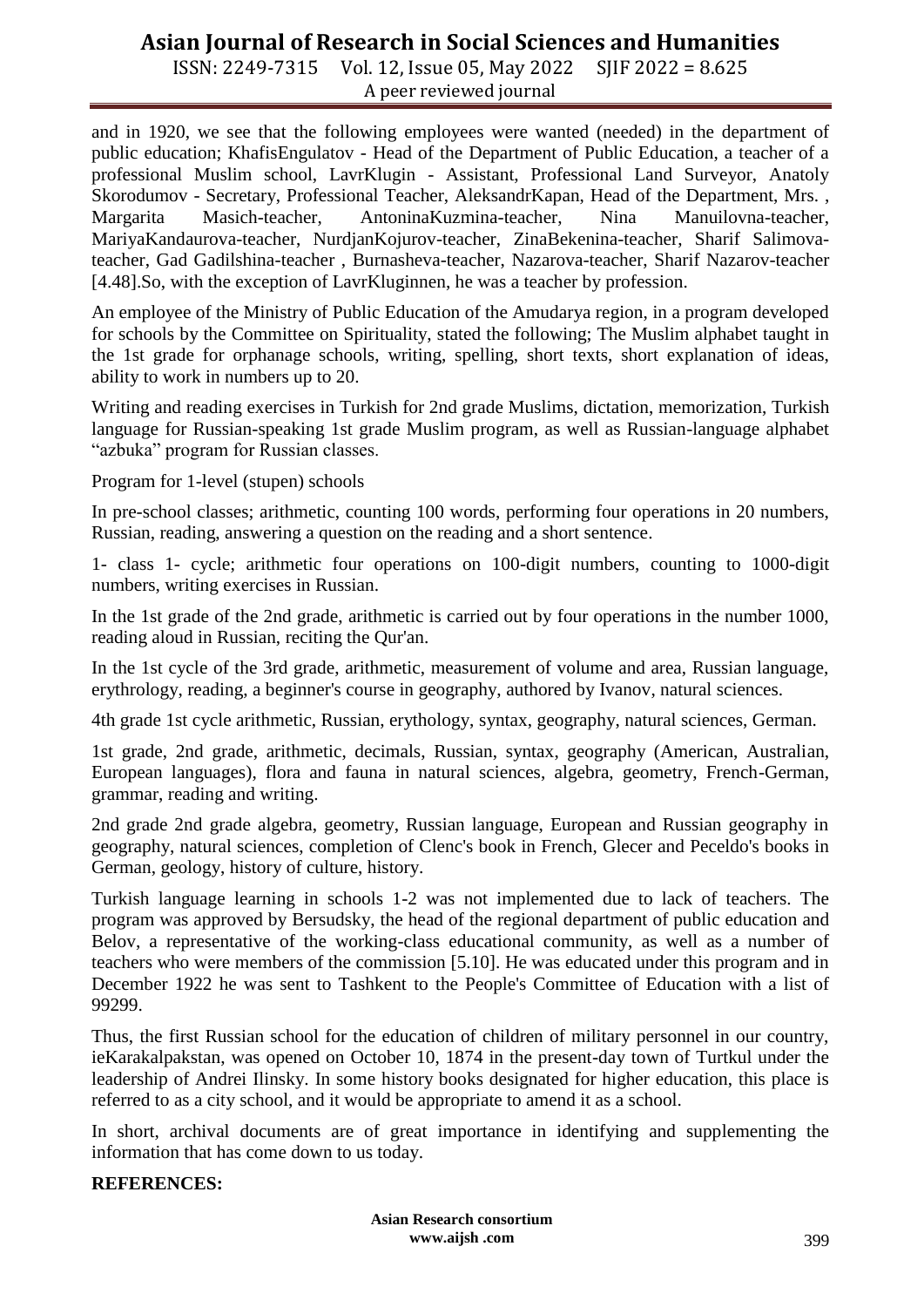## **Asian Journal of Research in Social Sciences and Humanities**

ISSN: 2249-7315 Vol. 12, Issue 05, May 2022 SJIF 2022 = 8.625 A peer reviewed journal

and in 1920, we see that the following employees were wanted (needed) in the department of public education; KhafisEngulatov - Head of the Department of Public Education, a teacher of a professional Muslim school, LavrKlugin - Assistant, Professional Land Surveyor, Anatoly Skorodumov - Secretary, Professional Teacher, AleksandrKapan, Head of the Department, Mrs. , Margarita Masich-teacher, AntoninaKuzmina-teacher, Nina Manuilovna-teacher, MariyaKandaurova-teacher, NurdjanKojurov-teacher, ZinaBekenina-teacher, Sharif Salimovateacher, Gad Gadilshina-teacher , Burnasheva-teacher, Nazarova-teacher, Sharif Nazarov-teacher [4.48].So, with the exception of LavrKluginnen, he was a teacher by profession.

An employee of the Ministry of Public Education of the Amudarya region, in a program developed for schools by the Committee on Spirituality, stated the following; The Muslim alphabet taught in the 1st grade for orphanage schools, writing, spelling, short texts, short explanation of ideas, ability to work in numbers up to 20.

Writing and reading exercises in Turkish for 2nd grade Muslims, dictation, memorization, Turkish language for Russian-speaking 1st grade Muslim program, as well as Russian-language alphabet "azbuka" program for Russian classes.

Program for 1-level (stupen) schools

In pre-school classes; arithmetic, counting 100 words, performing four operations in 20 numbers, Russian, reading, answering a question on the reading and a short sentence.

1- class 1- cycle; arithmetic four operations on 100-digit numbers, counting to 1000-digit numbers, writing exercises in Russian.

In the 1st grade of the 2nd grade, arithmetic is carried out by four operations in the number 1000, reading aloud in Russian, reciting the Qur'an.

In the 1st cycle of the 3rd grade, arithmetic, measurement of volume and area, Russian language, erythrology, reading, a beginner's course in geography, authored by Ivanov, natural sciences.

4th grade 1st cycle arithmetic, Russian, erythology, syntax, geography, natural sciences, German.

1st grade, 2nd grade, arithmetic, decimals, Russian, syntax, geography (American, Australian, European languages), flora and fauna in natural sciences, algebra, geometry, French-German, grammar, reading and writing.

2nd grade 2nd grade algebra, geometry, Russian language, European and Russian geography in geography, natural sciences, completion of Clenc's book in French, Glecer and Peceldo's books in German, geology, history of culture, history.

Turkish language learning in schools 1-2 was not implemented due to lack of teachers. The program was approved by Bersudsky, the head of the regional department of public education and Belov, a representative of the working-class educational community, as well as a number of teachers who were members of the commission [5.10]. He was educated under this program and in December 1922 he was sent to Tashkent to the People's Committee of Education with a list of 99299.

Thus, the first Russian school for the education of children of military personnel in our country, ieKarakalpakstan, was opened on October 10, 1874 in the present-day town of Turtkul under the leadership of Andrei Ilinsky. In some history books designated for higher education, this place is referred to as a city school, and it would be appropriate to amend it as a school.

In short, archival documents are of great importance in identifying and supplementing the information that has come down to us today.

#### **REFERENCES:**